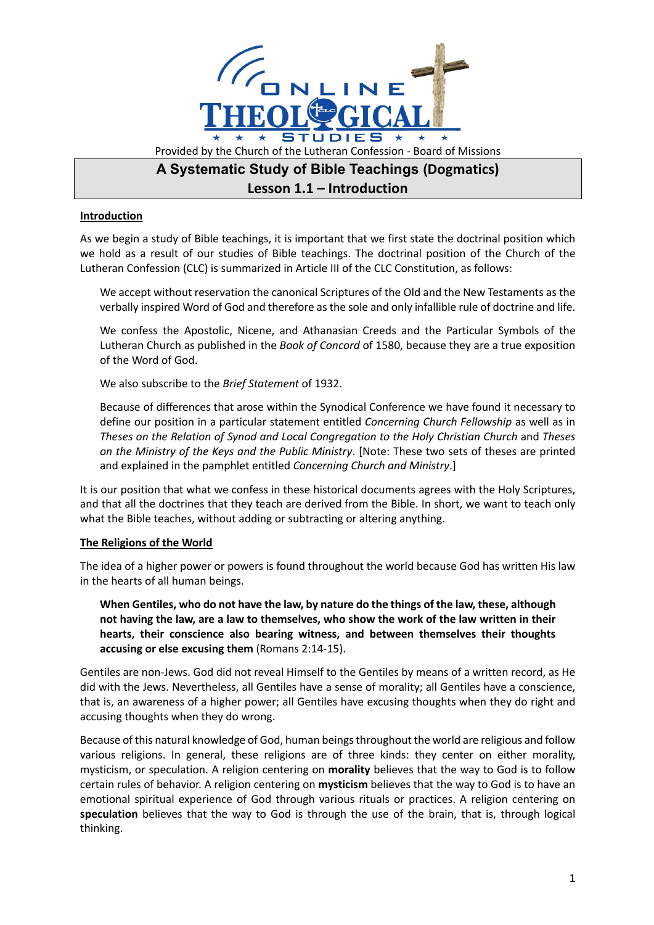

## **Lesson 1.1 – Introduction**

## **Introduction**

As we begin a study of Bible teachings, it is important that we first state the doctrinal position which we hold as a result of our studies of Bible teachings. The doctrinal position of the Church of the Lutheran Confession (CLC) is summarized in Article III of the CLC Constitution, as follows:

We accept without reservation the canonical Scriptures of the Old and the New Testaments as the verbally inspired Word of God and therefore as the sole and only infallible rule of doctrine and life.

We confess the Apostolic, Nicene, and Athanasian Creeds and the Particular Symbols of the Lutheran Church as published in the *Book of Concord* of 1580, because they are a true exposition of the Word of God.

We also subscribe to the *Brief Statement* of 1932.

Because of differences that arose within the Synodical Conference we have found it necessary to define our position in a particular statement entitled *Concerning Church Fellowship* as well as in *Theses on the Relation of Synod and Local Congregation to the Holy Christian Church* and *Theses on the Ministry of the Keys and the Public Ministry*. [Note: These two sets of theses are printed and explained in the pamphlet entitled *Concerning Church and Ministry*.]

It is our position that what we confess in these historical documents agrees with the Holy Scriptures, and that all the doctrines that they teach are derived from the Bible. In short, we want to teach only what the Bible teaches, without adding or subtracting or altering anything.

## **The Religions of the World**

The idea of a higher power or powers is found throughout the world because God has written His law in the hearts of all human beings.

**When Gentiles, who do not have the law, by nature do the things of the law, these, although not having the law, are a law to themselves, who show the work of the law written in their hearts, their conscience also bearing witness, and between themselves their thoughts accusing or else excusing them** (Romans 2:14-15).

Gentiles are non-Jews. God did not reveal Himself to the Gentiles by means of a written record, as He did with the Jews. Nevertheless, all Gentiles have a sense of morality; all Gentiles have a conscience, that is, an awareness of a higher power; all Gentiles have excusing thoughts when they do right and accusing thoughts when they do wrong.

Because of this natural knowledge of God, human beings throughout the world are religious and follow various religions. In general, these religions are of three kinds: they center on either morality, mysticism, or speculation. A religion centering on **morality** believes that the way to God is to follow certain rules of behavior. A religion centering on **mysticism** believes that the way to God is to have an emotional spiritual experience of God through various rituals or practices. A religion centering on **speculation** believes that the way to God is through the use of the brain, that is, through logical thinking.